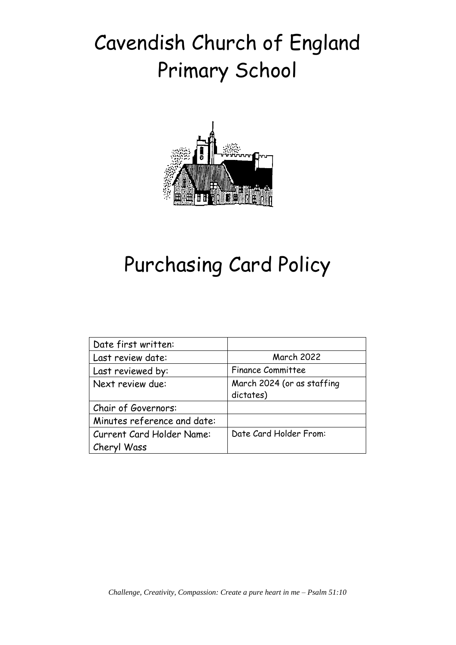# Cavendish Church of England Primary School



## Purchasing Card Policy

| Date first written:         |                            |
|-----------------------------|----------------------------|
| Last review date:           | <b>March 2022</b>          |
| Last reviewed by:           | <b>Finance Committee</b>   |
| Next review due:            | March 2024 (or as staffing |
|                             | dictates)                  |
| Chair of Governors:         |                            |
| Minutes reference and date: |                            |
| Current Card Holder Name:   | Date Card Holder From:     |
| Cheryl Wass                 |                            |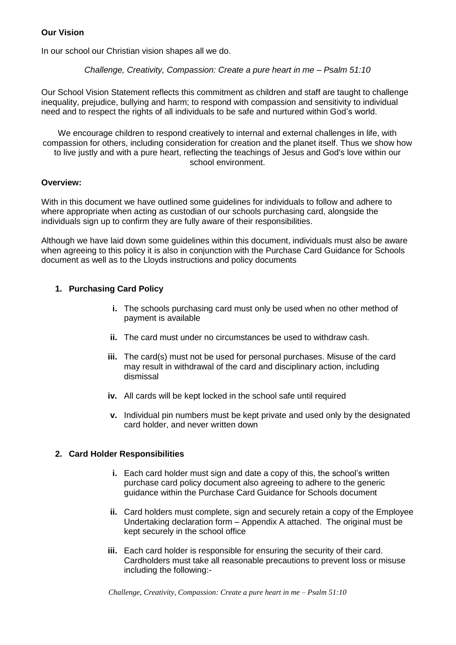#### **Our Vision**

In our school our Christian vision shapes all we do.

*Challenge, Creativity, Compassion: Create a pure heart in me – Psalm 51:10*

Our School Vision Statement reflects this commitment as children and staff are taught to challenge inequality, prejudice, bullying and harm; to respond with compassion and sensitivity to individual need and to respect the rights of all individuals to be safe and nurtured within God's world.

We encourage children to respond creatively to internal and external challenges in life, with compassion for others, including consideration for creation and the planet itself. Thus we show how to live justly and with a pure heart, reflecting the teachings of Jesus and God's love within our school environment.

#### **Overview:**

With in this document we have outlined some guidelines for individuals to follow and adhere to where appropriate when acting as custodian of our schools purchasing card, alongside the individuals sign up to confirm they are fully aware of their responsibilities.

Although we have laid down some guidelines within this document, individuals must also be aware when agreeing to this policy it is also in conjunction with the Purchase Card Guidance for Schools document as well as to the Lloyds instructions and policy documents

#### **1. Purchasing Card Policy**

- **i.** The schools purchasing card must only be used when no other method of payment is available
- **ii.** The card must under no circumstances be used to withdraw cash.
- **iii.** The card(s) must not be used for personal purchases. Misuse of the card may result in withdrawal of the card and disciplinary action, including dismissal
- **iv.** All cards will be kept locked in the school safe until required
- **v.** Individual pin numbers must be kept private and used only by the designated card holder, and never written down

#### **2. Card Holder Responsibilities**

- **i.** Each card holder must sign and date a copy of this, the school's written purchase card policy document also agreeing to adhere to the generic guidance within the Purchase Card Guidance for Schools document
- **ii.** Card holders must complete, sign and securely retain a copy of the Employee Undertaking declaration form – Appendix A attached. The original must be kept securely in the school office
- **iii.** Each card holder is responsible for ensuring the security of their card. Cardholders must take all reasonable precautions to prevent loss or misuse including the following:-

*Challenge, Creativity, Compassion: Create a pure heart in me – Psalm 51:10*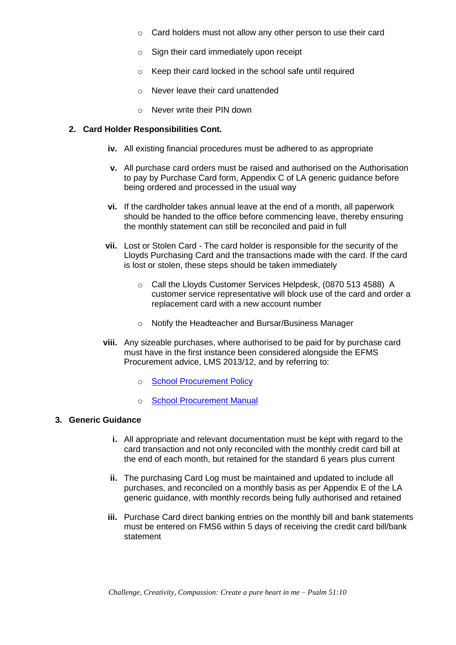- o Card holders must not allow any other person to use their card
- o Sign their card immediately upon receipt
- o Keep their card locked in the school safe until required
- o Never leave their card unattended
- o Never write their PIN down

#### **2. Card Holder Responsibilities Cont.**

- **iv.** All existing financial procedures must be adhered to as appropriate
- **v.** All purchase card orders must be raised and authorised on the Authorisation to pay by Purchase Card form, Appendix C of LA generic guidance before being ordered and processed in the usual way
- **vi.** If the cardholder takes annual leave at the end of a month, all paperwork should be handed to the office before commencing leave, thereby ensuring the monthly statement can still be reconciled and paid in full
- **vii.** Lost or Stolen Card The card holder is responsible for the security of the Lloyds Purchasing Card and the transactions made with the card. If the card is lost or stolen, these steps should be taken immediately
	- o Call the Lloyds Customer Services Helpdesk, (0870 513 4588) A customer service representative will block use of the card and order a replacement card with a new account number
	- o Notify the Headteacher and Bursar/Business Manager
- **viii.** Any sizeable purchases, where authorised to be paid for by purchase card must have in the first instance been considered alongside the EFMS Procurement advice, LMS 2013/12, and by referring to:
	- o [School Procurement Policy](https://www.schoolsurf.suffolkcc.gov.uk/docs/unrestricted/Finance_Service/Financial_Management/Policies_and_Procedures/Model_School_Procurement_Policy.doc)
	- o [School Procurement Manual](https://www.schoolsurf.suffolkcc.gov.uk/docs/unrestricted/Finance_Service/Financial_Management/Policies_and_Procedures/Model_Schools_Procurement_Manual.doc)

#### **3. Generic Guidance**

- **i.** All appropriate and relevant documentation must be kept with regard to the card transaction and not only reconciled with the monthly credit card bill at the end of each month, but retained for the standard 6 years plus current
- **ii.** The purchasing Card Log must be maintained and updated to include all purchases, and reconciled on a monthly basis as per Appendix E of the LA generic guidance, with monthly records being fully authorised and retained
- **iii.** Purchase Card direct banking entries on the monthly bill and bank statements must be entered on FMS6 within 5 days of receiving the credit card bill/bank statement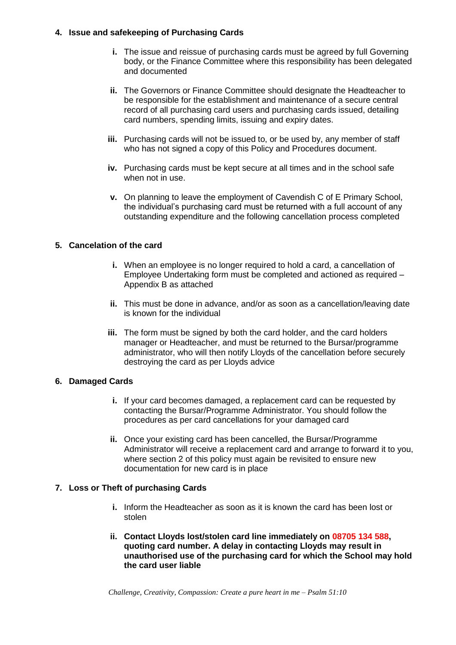#### **4. Issue and safekeeping of Purchasing Cards**

- **i.** The issue and reissue of purchasing cards must be agreed by full Governing body, or the Finance Committee where this responsibility has been delegated and documented
- **ii.** The Governors or Finance Committee should designate the Headteacher to be responsible for the establishment and maintenance of a secure central record of all purchasing card users and purchasing cards issued, detailing card numbers, spending limits, issuing and expiry dates.
- **iii.** Purchasing cards will not be issued to, or be used by, any member of staff who has not signed a copy of this Policy and Procedures document.
- **iv.** Purchasing cards must be kept secure at all times and in the school safe when not in use.
- **v.** On planning to leave the employment of Cavendish C of E Primary School, the individual's purchasing card must be returned with a full account of any outstanding expenditure and the following cancellation process completed

#### **5. Cancelation of the card**

- **i.** When an employee is no longer required to hold a card, a cancellation of Employee Undertaking form must be completed and actioned as required – Appendix B as attached
- **ii.** This must be done in advance, and/or as soon as a cancellation/leaving date is known for the individual
- **iii.** The form must be signed by both the card holder, and the card holders manager or Headteacher, and must be returned to the Bursar/programme administrator, who will then notify Lloyds of the cancellation before securely destroying the card as per Lloyds advice

#### **6. Damaged Cards**

- **i.** If your card becomes damaged, a replacement card can be requested by contacting the Bursar/Programme Administrator. You should follow the procedures as per card cancellations for your damaged card
- **ii.** Once your existing card has been cancelled, the Bursar/Programme Administrator will receive a replacement card and arrange to forward it to you, where section 2 of this policy must again be revisited to ensure new documentation for new card is in place

#### **7. Loss or Theft of purchasing Cards**

- **i.** Inform the Headteacher as soon as it is known the card has been lost or stolen
- **ii. Contact Lloyds lost/stolen card line immediately on 08705 134 588, quoting card number. A delay in contacting Lloyds may result in unauthorised use of the purchasing card for which the School may hold the card user liable**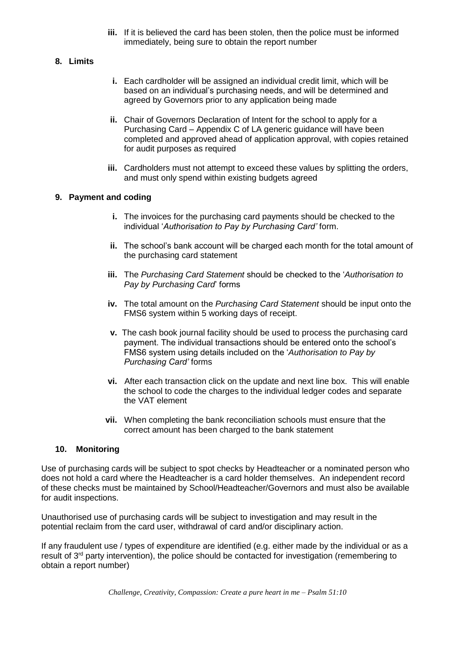**iii.** If it is believed the card has been stolen, then the police must be informed immediately, being sure to obtain the report number

#### **8. Limits**

- **i.** Each cardholder will be assigned an individual credit limit, which will be based on an individual's purchasing needs, and will be determined and agreed by Governors prior to any application being made
- **ii.** Chair of Governors Declaration of Intent for the school to apply for a Purchasing Card – Appendix C of LA generic guidance will have been completed and approved ahead of application approval, with copies retained for audit purposes as required
- **iii.** Cardholders must not attempt to exceed these values by splitting the orders, and must only spend within existing budgets agreed

#### **9. Payment and coding**

- **i.** The invoices for the purchasing card payments should be checked to the individual '*Authorisation to Pay by Purchasing Card'* form.
- **ii.** The school's bank account will be charged each month for the total amount of the purchasing card statement
- **iii.** The *Purchasing Card Statement* should be checked to the '*Authorisation to Pay by Purchasing Card*' forms
- **iv.** The total amount on the *Purchasing Card Statement* should be input onto the FMS6 system within 5 working days of receipt.
- **v.** The cash book journal facility should be used to process the purchasing card payment. The individual transactions should be entered onto the school's FMS6 system using details included on the '*Authorisation to Pay by Purchasing Card'* forms
- **vi.** After each transaction click on the update and next line box. This will enable the school to code the charges to the individual ledger codes and separate the VAT element
- **vii.** When completing the bank reconciliation schools must ensure that the correct amount has been charged to the bank statement

#### **10. Monitoring**

Use of purchasing cards will be subject to spot checks by Headteacher or a nominated person who does not hold a card where the Headteacher is a card holder themselves. An independent record of these checks must be maintained by School/Headteacher/Governors and must also be available for audit inspections.

Unauthorised use of purchasing cards will be subject to investigation and may result in the potential reclaim from the card user, withdrawal of card and/or disciplinary action.

If any fraudulent use / types of expenditure are identified (e.g. either made by the individual or as a result of 3<sup>rd</sup> party intervention), the police should be contacted for investigation (remembering to obtain a report number)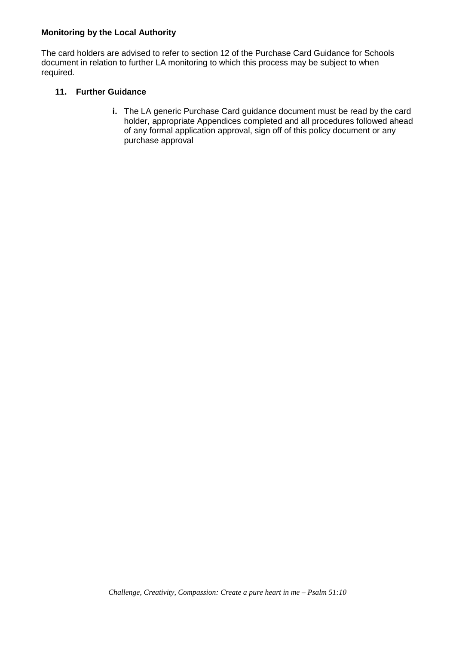#### **Monitoring by the Local Authority**

The card holders are advised to refer to section 12 of the Purchase Card Guidance for Schools document in relation to further LA monitoring to which this process may be subject to when required.

#### **11. Further Guidance**

**i.** The LA generic Purchase Card guidance document must be read by the card holder, appropriate Appendices completed and all procedures followed ahead of any formal application approval, sign off of this policy document or any purchase approval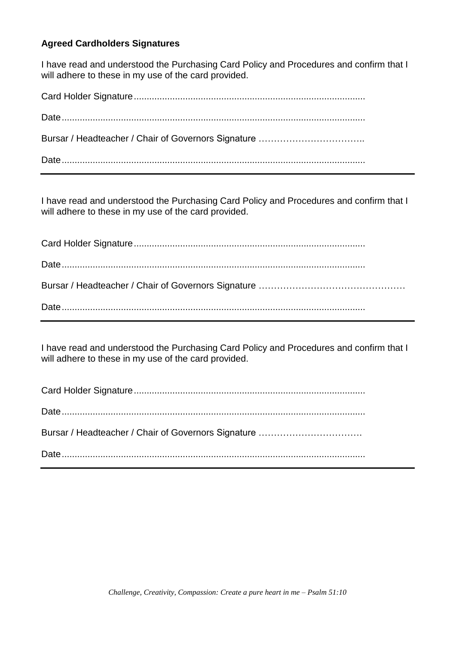### **Agreed Cardholders Signatures**

I have read and understood the Purchasing Card Policy and Procedures and confirm that I will adhere to these in my use of the card provided.

Card Holder Signature.......................................................................................... Date...................................................................................................................... Bursar / Headteacher / Chair of Governors Signature …………………………….. Date......................................................................................................................

I have read and understood the Purchasing Card Policy and Procedures and confirm that I will adhere to these in my use of the card provided.

Card Holder Signature.......................................................................................... Date...................................................................................................................... Bursar / Headteacher / Chair of Governors Signature ………………………………………… Date......................................................................................................................

I have read and understood the Purchasing Card Policy and Procedures and confirm that I will adhere to these in my use of the card provided.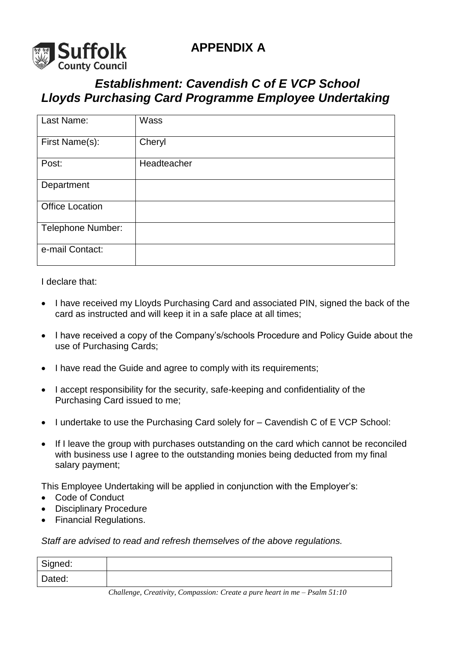

## *Establishment: Cavendish C of E VCP School Lloyds Purchasing Card Programme Employee Undertaking*

| Last Name:             | Wass        |
|------------------------|-------------|
| First Name(s):         | Cheryl      |
| Post:                  | Headteacher |
| Department             |             |
| <b>Office Location</b> |             |
| Telephone Number:      |             |
| e-mail Contact:        |             |

I declare that:

- I have received my Lloyds Purchasing Card and associated PIN, signed the back of the card as instructed and will keep it in a safe place at all times;
- I have received a copy of the Company's/schools Procedure and Policy Guide about the use of Purchasing Cards;
- I have read the Guide and agree to comply with its requirements;
- I accept responsibility for the security, safe-keeping and confidentiality of the Purchasing Card issued to me;
- I undertake to use the Purchasing Card solely for Cavendish C of E VCP School:
- If I leave the group with purchases outstanding on the card which cannot be reconciled with business use I agree to the outstanding monies being deducted from my final salary payment;

This Employee Undertaking will be applied in conjunction with the Employer's:

- Code of Conduct
- Disciplinary Procedure
- Financial Regulations.

*Staff are advised to read and refresh themselves of the above regulations.*

| Signed: |  |
|---------|--|
| Dated:  |  |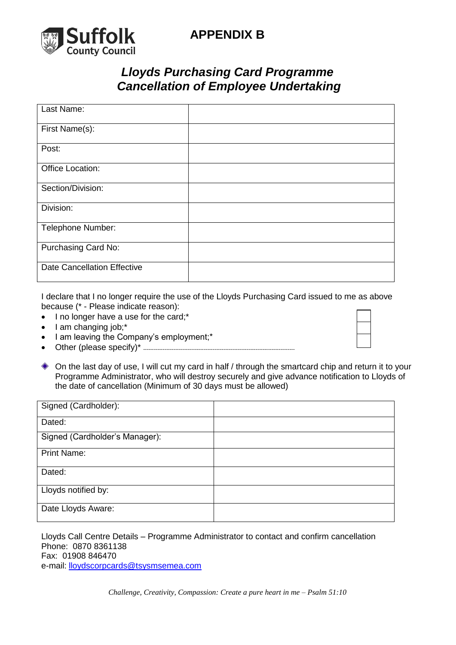

## **APPENDIX B**

### *Lloyds Purchasing Card Programme Cancellation of Employee Undertaking*

| Last Name:                         |  |
|------------------------------------|--|
| First Name(s):                     |  |
| Post:                              |  |
| Office Location:                   |  |
| Section/Division:                  |  |
| Division:                          |  |
| Telephone Number:                  |  |
| Purchasing Card No:                |  |
| <b>Date Cancellation Effective</b> |  |

I declare that I no longer require the use of the Lloyds Purchasing Card issued to me as above because (\* - Please indicate reason):

- $\bullet$  I no longer have a use for the card;\*
- $\bullet$  | am changing job;\*
- I am leaving the Company's employment;\*
- Other (please specify)\* -------------------------------------------------------------------------------------
- On the last day of use, I will cut my card in half / through the smartcard chip and return it to your Programme Administrator, who will destroy securely and give advance notification to Lloyds of the date of cancellation (Minimum of 30 days must be allowed)

| Signed (Cardholder):           |  |
|--------------------------------|--|
| Dated:                         |  |
| Signed (Cardholder's Manager): |  |
| <b>Print Name:</b>             |  |
| Dated:                         |  |
| Lloyds notified by:            |  |
| Date Lloyds Aware:             |  |

Lloyds Call Centre Details – Programme Administrator to contact and confirm cancellation Phone: 0870 8361138 Fax: 01908 846470 e-mail: [lloydscorpcards@tsysmsemea.com](mailto:lloydscorpcards@tsysmsemea.com)

*Challenge, Creativity, Compassion: Create a pure heart in me – Psalm 51:10*